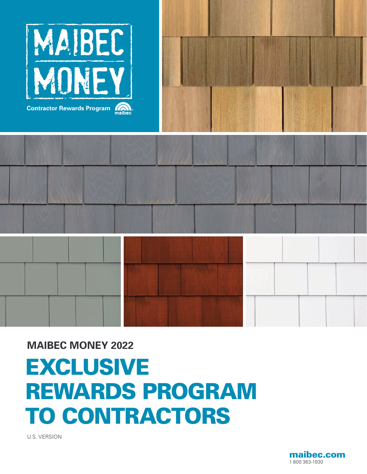





# EXCLUSIVE REWARDS PROGRAM TO CONTRACTORS **MAIBEC MONEY 2022**

U.S. VERSION